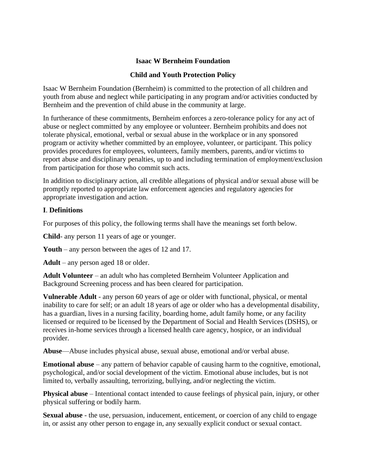### **Isaac W Bernheim Foundation**

#### **Child and Youth Protection Policy**

Isaac W Bernheim Foundation (Bernheim) is committed to the protection of all children and youth from abuse and neglect while participating in any program and/or activities conducted by Bernheim and the prevention of child abuse in the community at large.

In furtherance of these commitments, Bernheim enforces a zero-tolerance policy for any act of abuse or neglect committed by any employee or volunteer. Bernheim prohibits and does not tolerate physical, emotional, verbal or sexual abuse in the workplace or in any sponsored program or activity whether committed by an employee, volunteer, or participant. This policy provides procedures for employees, volunteers, family members, parents, and/or victims to report abuse and disciplinary penalties, up to and including termination of employment/exclusion from participation for those who commit such acts.

In addition to disciplinary action, all credible allegations of physical and/or sexual abuse will be promptly reported to appropriate law enforcement agencies and regulatory agencies for appropriate investigation and action.

### **I**. **Definitions**

For purposes of this policy, the following terms shall have the meanings set forth below.

**Child**- any person 11 years of age or younger.

**Youth** – any person between the ages of 12 and 17.

**Adult** – any person aged 18 or older.

**Adult Volunteer** – an adult who has completed Bernheim Volunteer Application and Background Screening process and has been cleared for participation.

**Vulnerable Adult** - any person 60 years of age or older with functional, physical, or mental inability to care for self; or an adult 18 years of age or older who has a developmental disability, has a guardian, lives in a nursing facility, boarding home, adult family home, or any facility licensed or required to be licensed by the Department of Social and Health Services (DSHS), or receives in-home services through a licensed health care agency, hospice, or an individual provider.

**Abuse**—Abuse includes physical abuse, sexual abuse, emotional and/or verbal abuse.

**Emotional abuse** – any pattern of behavior capable of causing harm to the cognitive, emotional, psychological, and/or social development of the victim. Emotional abuse includes, but is not limited to, verbally assaulting, terrorizing, bullying, and/or neglecting the victim.

**Physical abuse** – Intentional contact intended to cause feelings of physical pain, injury, or other physical suffering or bodily harm.

**Sexual abuse** - the use, persuasion, inducement, enticement, or coercion of any child to engage in, or assist any other person to engage in, any sexually explicit conduct or sexual contact.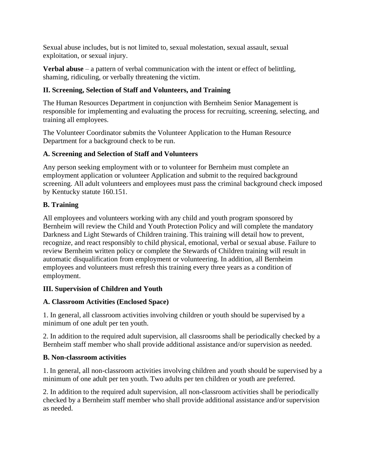Sexual abuse includes, but is not limited to, sexual molestation, sexual assault, sexual exploitation, or sexual injury.

**Verbal abuse** – a pattern of verbal communication with the intent or effect of belittling, shaming, ridiculing, or verbally threatening the victim.

# **II. Screening, Selection of Staff and Volunteers, and Training**

The Human Resources Department in conjunction with Bernheim Senior Management is responsible for implementing and evaluating the process for recruiting, screening, selecting, and training all employees.

The Volunteer Coordinator submits the Volunteer Application to the Human Resource Department for a background check to be run.

## **A. Screening and Selection of Staff and Volunteers**

Any person seeking employment with or to volunteer for Bernheim must complete an employment application or volunteer Application and submit to the required background screening. All adult volunteers and employees must pass the criminal background check imposed by Kentucky statute 160.151.

## **B. Training**

All employees and volunteers working with any child and youth program sponsored by Bernheim will review the Child and Youth Protection Policy and will complete the mandatory Darkness and Light Stewards of Children training. This training will detail how to prevent, recognize, and react responsibly to child physical, emotional, verbal or sexual abuse. Failure to review Bernheim written policy or complete the Stewards of Children training will result in automatic disqualification from employment or volunteering. In addition, all Bernheim employees and volunteers must refresh this training every three years as a condition of employment.

### **III. Supervision of Children and Youth**

### **A. Classroom Activities (Enclosed Space)**

1. In general, all classroom activities involving children or youth should be supervised by a minimum of one adult per ten youth.

2. In addition to the required adult supervision, all classrooms shall be periodically checked by a Bernheim staff member who shall provide additional assistance and/or supervision as needed.

### **B. Non-classroom activities**

1. In general, all non-classroom activities involving children and youth should be supervised by a minimum of one adult per ten youth. Two adults per ten children or youth are preferred.

2. In addition to the required adult supervision, all non-classroom activities shall be periodically checked by a Bernheim staff member who shall provide additional assistance and/or supervision as needed.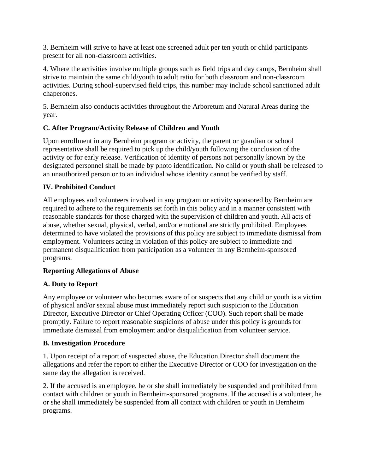3. Bernheim will strive to have at least one screened adult per ten youth or child participants present for all non-classroom activities.

4. Where the activities involve multiple groups such as field trips and day camps, Bernheim shall strive to maintain the same child/youth to adult ratio for both classroom and non-classroom activities. During school-supervised field trips, this number may include school sanctioned adult chaperones.

5. Bernheim also conducts activities throughout the Arboretum and Natural Areas during the year.

## **C. After Program/Activity Release of Children and Youth**

Upon enrollment in any Bernheim program or activity, the parent or guardian or school representative shall be required to pick up the child/youth following the conclusion of the activity or for early release. Verification of identity of persons not personally known by the designated personnel shall be made by photo identification. No child or youth shall be released to an unauthorized person or to an individual whose identity cannot be verified by staff.

### **IV. Prohibited Conduct**

All employees and volunteers involved in any program or activity sponsored by Bernheim are required to adhere to the requirements set forth in this policy and in a manner consistent with reasonable standards for those charged with the supervision of children and youth. All acts of abuse, whether sexual, physical, verbal, and/or emotional are strictly prohibited. Employees determined to have violated the provisions of this policy are subject to immediate dismissal from employment. Volunteers acting in violation of this policy are subject to immediate and permanent disqualification from participation as a volunteer in any Bernheim-sponsored programs.

### **Reporting Allegations of Abuse**

### **A. Duty to Report**

Any employee or volunteer who becomes aware of or suspects that any child or youth is a victim of physical and/or sexual abuse must immediately report such suspicion to the Education Director, Executive Director or Chief Operating Officer (COO). Such report shall be made promptly. Failure to report reasonable suspicions of abuse under this policy is grounds for immediate dismissal from employment and/or disqualification from volunteer service.

### **B. Investigation Procedure**

1. Upon receipt of a report of suspected abuse, the Education Director shall document the allegations and refer the report to either the Executive Director or COO for investigation on the same day the allegation is received.

2. If the accused is an employee, he or she shall immediately be suspended and prohibited from contact with children or youth in Bernheim-sponsored programs. If the accused is a volunteer, he or she shall immediately be suspended from all contact with children or youth in Bernheim programs.